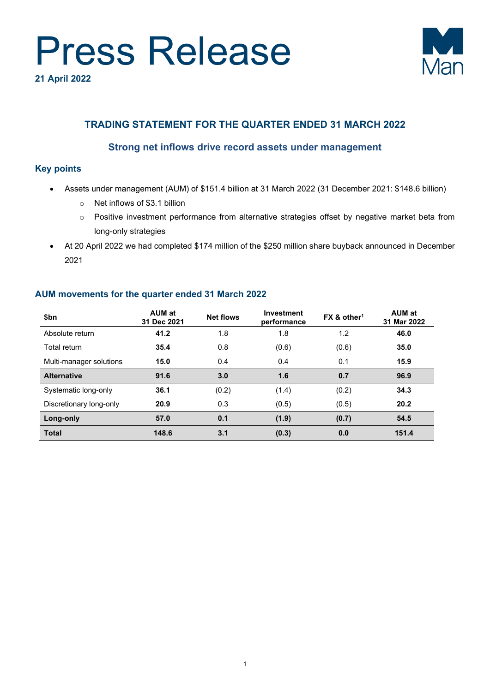

21 April 2022



# TRADING STATEMENT FOR THE QUARTER ENDED 31 MARCH 2022

# Strong net inflows drive record assets under management

# Key points

- Assets under management (AUM) of \$151.4 billion at 31 March 2022 (31 December 2021: \$148.6 billion)
	- o Net inflows of \$3.1 billion
	- o Positive investment performance from alternative strategies offset by negative market beta from long-only strategies
- At 20 April 2022 we had completed \$174 million of the \$250 million share buyback announced in December 2021

| \$bn                    | <b>AUM at</b><br>31 Dec 2021 | <b>Net flows</b> | Investment<br>performance | FX & other <sup>1</sup> | <b>AUM at</b><br>31 Mar 2022 |
|-------------------------|------------------------------|------------------|---------------------------|-------------------------|------------------------------|
| Absolute return         | 41.2                         | 1.8              | 1.8                       | 1.2                     | 46.0                         |
| Total return            | 35.4                         | 0.8              | (0.6)                     | (0.6)                   | 35.0                         |
| Multi-manager solutions | 15.0                         | 0.4              | 0.4                       | 0.1                     | 15.9                         |
| <b>Alternative</b>      | 91.6                         | 3.0              | 1.6                       | 0.7                     | 96.9                         |
| Systematic long-only    | 36.1                         | (0.2)            | (1.4)                     | (0.2)                   | 34.3                         |
| Discretionary long-only | 20.9                         | 0.3              | (0.5)                     | (0.5)                   | 20.2                         |
| Long-only               | 57.0                         | 0.1              | (1.9)                     | (0.7)                   | 54.5                         |
| <b>Total</b>            | 148.6                        | 3.1              | (0.3)                     | 0.0                     | 151.4                        |

### AUM movements for the quarter ended 31 March 2022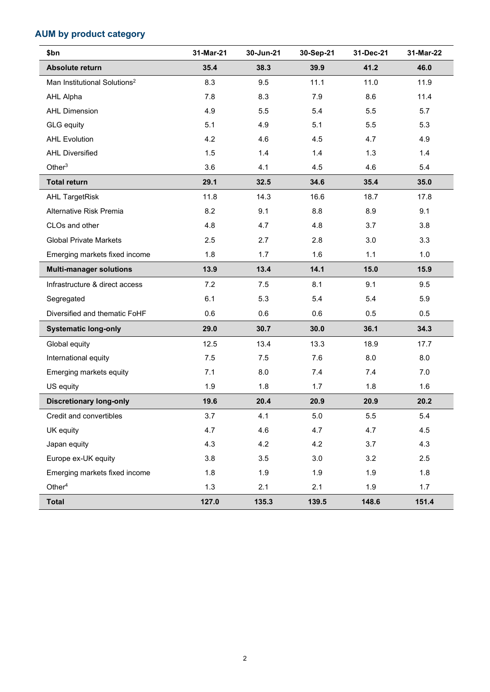# AUM by product category

| \$bn                                     | 31-Mar-21 | 30-Jun-21 | 30-Sep-21 | 31-Dec-21 | 31-Mar-22 |
|------------------------------------------|-----------|-----------|-----------|-----------|-----------|
| Absolute return                          | 35.4      | 38.3      | 39.9      | 41.2      | 46.0      |
| Man Institutional Solutions <sup>2</sup> | 8.3       | 9.5       | 11.1      | 11.0      | 11.9      |
| <b>AHL Alpha</b>                         | 7.8       | 8.3       | 7.9       | 8.6       | 11.4      |
| <b>AHL Dimension</b>                     | 4.9       | 5.5       | 5.4       | 5.5       | 5.7       |
| <b>GLG</b> equity                        | 5.1       | 4.9       | 5.1       | 5.5       | 5.3       |
| <b>AHL Evolution</b>                     | 4.2       | 4.6       | 4.5       | 4.7       | 4.9       |
| <b>AHL Diversified</b>                   | 1.5       | 1.4       | 1.4       | 1.3       | 1.4       |
| Other $3$                                | 3.6       | 4.1       | 4.5       | 4.6       | 5.4       |
| <b>Total return</b>                      | 29.1      | 32.5      | 34.6      | 35.4      | 35.0      |
| <b>AHL TargetRisk</b>                    | 11.8      | 14.3      | 16.6      | 18.7      | 17.8      |
| Alternative Risk Premia                  | 8.2       | 9.1       | 8.8       | 8.9       | 9.1       |
| CLOs and other                           | 4.8       | 4.7       | 4.8       | 3.7       | 3.8       |
| <b>Global Private Markets</b>            | 2.5       | 2.7       | 2.8       | 3.0       | 3.3       |
| Emerging markets fixed income            | 1.8       | 1.7       | 1.6       | 1.1       | 1.0       |
| <b>Multi-manager solutions</b>           | 13.9      | 13.4      | 14.1      | 15.0      | 15.9      |
| Infrastructure & direct access           | 7.2       | 7.5       | 8.1       | 9.1       | 9.5       |
| Segregated                               | 6.1       | 5.3       | 5.4       | 5.4       | 5.9       |
| Diversified and thematic FoHF            | 0.6       | 0.6       | 0.6       | 0.5       | 0.5       |
| <b>Systematic long-only</b>              | 29.0      | 30.7      | 30.0      | 36.1      | 34.3      |
| Global equity                            | 12.5      | 13.4      | 13.3      | 18.9      | 17.7      |
| International equity                     | 7.5       | 7.5       | 7.6       | 8.0       | 8.0       |
| Emerging markets equity                  | 7.1       | 8.0       | 7.4       | 7.4       | 7.0       |
| US equity                                | 1.9       | 1.8       | 1.7       | 1.8       | 1.6       |
| <b>Discretionary long-only</b>           | 19.6      | 20.4      | 20.9      | 20.9      | 20.2      |
| Credit and convertibles                  | 3.7       | 4.1       | $5.0\,$   | 5.5       | $5.4$     |
| UK equity                                | 4.7       | 4.6       | 4.7       | 4.7       | 4.5       |
| Japan equity                             | 4.3       | 4.2       | 4.2       | 3.7       | 4.3       |
| Europe ex-UK equity                      | 3.8       | 3.5       | 3.0       | 3.2       | 2.5       |
| Emerging markets fixed income            | 1.8       | 1.9       | 1.9       | 1.9       | 1.8       |
| Other <sup>4</sup>                       | 1.3       | 2.1       | 2.1       | 1.9       | 1.7       |
| <b>Total</b>                             | 127.0     | 135.3     | 139.5     | 148.6     | 151.4     |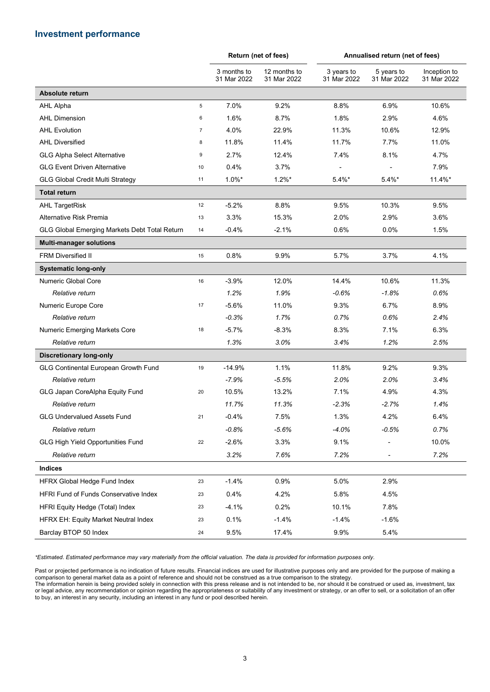## Investment performance

|                                               |                | Return (net of fees)       |                             | Annualised return (net of fees) |                           |                             |  |
|-----------------------------------------------|----------------|----------------------------|-----------------------------|---------------------------------|---------------------------|-----------------------------|--|
|                                               |                | 3 months to<br>31 Mar 2022 | 12 months to<br>31 Mar 2022 | 3 years to<br>31 Mar 2022       | 5 years to<br>31 Mar 2022 | Inception to<br>31 Mar 2022 |  |
| Absolute return                               |                |                            |                             |                                 |                           |                             |  |
| <b>AHL Alpha</b>                              | $\sqrt{5}$     | 7.0%                       | 9.2%                        | 8.8%                            | 6.9%                      | 10.6%                       |  |
| <b>AHL Dimension</b>                          | 6              | 1.6%                       | 8.7%                        | 1.8%                            | 2.9%                      | 4.6%                        |  |
| <b>AHL Evolution</b>                          | $\overline{7}$ | 4.0%                       | 22.9%                       | 11.3%                           | 10.6%                     | 12.9%                       |  |
| <b>AHL Diversified</b>                        | 8              | 11.8%                      | 11.4%                       | 11.7%                           | 7.7%                      | 11.0%                       |  |
| <b>GLG Alpha Select Alternative</b>           | 9              | 2.7%                       | 12.4%                       | 7.4%                            | 8.1%                      | 4.7%                        |  |
| <b>GLG Event Driven Alternative</b>           | 10             | 0.4%                       | 3.7%                        |                                 |                           | 7.9%                        |  |
| <b>GLG Global Credit Multi Strategy</b>       | 11             | $1.0\%$ *                  | $1.2\%$ *                   | $5.4%$ *                        | $5.4%$ *                  | 11.4%*                      |  |
| <b>Total return</b>                           |                |                            |                             |                                 |                           |                             |  |
| <b>AHL TargetRisk</b>                         | 12             | $-5.2%$                    | 8.8%                        | 9.5%                            | 10.3%                     | 9.5%                        |  |
| Alternative Risk Premia                       | 13             | 3.3%                       | 15.3%                       | 2.0%                            | 2.9%                      | 3.6%                        |  |
| GLG Global Emerging Markets Debt Total Return | 14             | $-0.4%$                    | $-2.1%$                     | 0.6%                            | 0.0%                      | 1.5%                        |  |
| <b>Multi-manager solutions</b>                |                |                            |                             |                                 |                           |                             |  |
| <b>FRM Diversified II</b>                     | 15             | 0.8%                       | 9.9%                        | 5.7%                            | 3.7%                      | 4.1%                        |  |
| <b>Systematic long-only</b>                   |                |                            |                             |                                 |                           |                             |  |
| Numeric Global Core                           | 16             | $-3.9%$                    | 12.0%                       | 14.4%                           | 10.6%                     | 11.3%                       |  |
| Relative return                               |                | 1.2%                       | 1.9%                        | $-0.6%$                         | $-1.8%$                   | 0.6%                        |  |
| Numeric Europe Core                           | 17             | $-5.6%$                    | 11.0%                       | 9.3%                            | 6.7%                      | 8.9%                        |  |
| Relative return                               |                | $-0.3%$                    | 1.7%                        | 0.7%                            | 0.6%                      | 2.4%                        |  |
| Numeric Emerging Markets Core                 | 18             | $-5.7%$                    | $-8.3%$                     | 8.3%                            | 7.1%                      | 6.3%                        |  |
| Relative return                               |                | 1.3%                       | 3.0%                        | 3.4%                            | 1.2%                      | 2.5%                        |  |
| <b>Discretionary long-only</b>                |                |                            |                             |                                 |                           |                             |  |
| GLG Continental European Growth Fund          | 19             | $-14.9%$                   | 1.1%                        | 11.8%                           | 9.2%                      | 9.3%                        |  |
| Relative return                               |                | $-7.9%$                    | $-5.5%$                     | 2.0%                            | 2.0%                      | 3.4%                        |  |
| GLG Japan CoreAlpha Equity Fund               | 20             | 10.5%                      | 13.2%                       | 7.1%                            | 4.9%                      | 4.3%                        |  |
| Relative return                               |                | 11.7%                      | 11.3%                       | $-2.3%$                         | $-2.7%$                   | 1.4%                        |  |
| <b>GLG Undervalued Assets Fund</b>            | 21             | $-0.4%$                    | 7.5%                        | 1.3%                            | 4.2%                      | 6.4%                        |  |
| Relative return                               |                | $-0.8%$                    | $-5.6%$                     | $-4.0%$                         | $-0.5%$                   | 0.7%                        |  |
| <b>GLG High Yield Opportunities Fund</b>      | 22             | $-2.6%$                    | 3.3%                        | 9.1%                            |                           | 10.0%                       |  |
| Relative return                               |                | 3.2%                       | 7.6%                        | 7.2%                            | $\overline{\phantom{0}}$  | 7.2%                        |  |
| <b>Indices</b>                                |                |                            |                             |                                 |                           |                             |  |
| HFRX Global Hedge Fund Index                  | 23             | $-1.4%$                    | 0.9%                        | 5.0%                            | 2.9%                      |                             |  |
| <b>HFRI Fund of Funds Conservative Index</b>  | 23             | 0.4%                       | 4.2%                        | 5.8%                            | 4.5%                      |                             |  |
| HFRI Equity Hedge (Total) Index               | 23             | $-4.1%$                    | 0.2%                        | 10.1%                           | 7.8%                      |                             |  |
| HFRX EH: Equity Market Neutral Index          | 23             | 0.1%                       | $-1.4%$                     | $-1.4%$                         | $-1.6%$                   |                             |  |
| Barclay BTOP 50 Index                         | 24             | 9.5%                       | 17.4%                       | 9.9%                            | 5.4%                      |                             |  |

\*Estimated. Estimated performance may vary materially from the official valuation. The data is provided for information purposes only.

Past or projected performance is no indication of future results. Financial indices are used for illustrative purposes only and are provided for the purpose of making a comparison to general market data as a point of reference and should not be construed as a true comparison to the strategy.

The information herein is being provided solely in connection with this press release and is not intended to be, nor should it be construed or used as, investment, tax or legal advice, any recommendation or opinion regarding the appropriateness or suitability of any investment or strategy, or an offer to sell, or a solicitation of an offer to buy, an interest in any security, including an interest in any fund or pool described herein.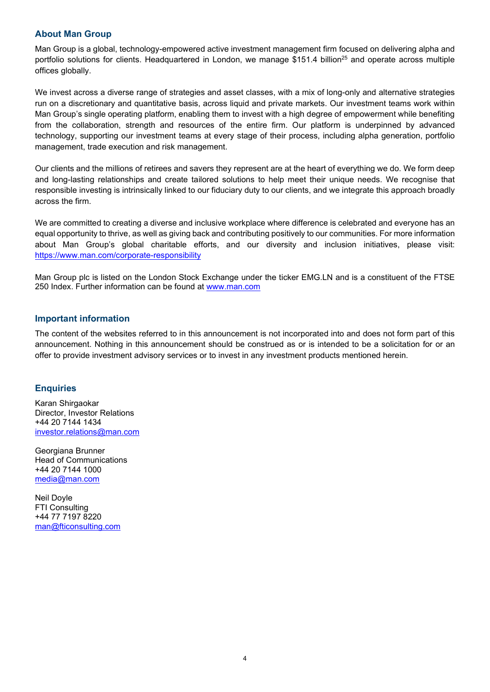### About Man Group

Man Group is a global, technology-empowered active investment management firm focused on delivering alpha and portfolio solutions for clients. Headquartered in London, we manage \$151.4 billion<sup>25</sup> and operate across multiple offices globally.

We invest across a diverse range of strategies and asset classes, with a mix of long-only and alternative strategies run on a discretionary and quantitative basis, across liquid and private markets. Our investment teams work within Man Group's single operating platform, enabling them to invest with a high degree of empowerment while benefiting from the collaboration, strength and resources of the entire firm. Our platform is underpinned by advanced technology, supporting our investment teams at every stage of their process, including alpha generation, portfolio management, trade execution and risk management.

Our clients and the millions of retirees and savers they represent are at the heart of everything we do. We form deep and long-lasting relationships and create tailored solutions to help meet their unique needs. We recognise that responsible investing is intrinsically linked to our fiduciary duty to our clients, and we integrate this approach broadly across the firm.

We are committed to creating a diverse and inclusive workplace where difference is celebrated and everyone has an equal opportunity to thrive, as well as giving back and contributing positively to our communities. For more information about Man Group's global charitable efforts, and our diversity and inclusion initiatives, please visit: https://www.man.com/corporate-responsibility

Man Group plc is listed on the London Stock Exchange under the ticker EMG.LN and is a constituent of the FTSE 250 Index. Further information can be found at www.man.com

### Important information

The content of the websites referred to in this announcement is not incorporated into and does not form part of this announcement. Nothing in this announcement should be construed as or is intended to be a solicitation for or an offer to provide investment advisory services or to invest in any investment products mentioned herein.

#### **Enquiries**

Karan Shirgaokar Director, Investor Relations +44 20 7144 1434 investor.relations@man.com

Georgiana Brunner Head of Communications +44 20 7144 1000 media@man.com

Neil Doyle FTI Consulting +44 77 7197 8220 man@fticonsulting.com